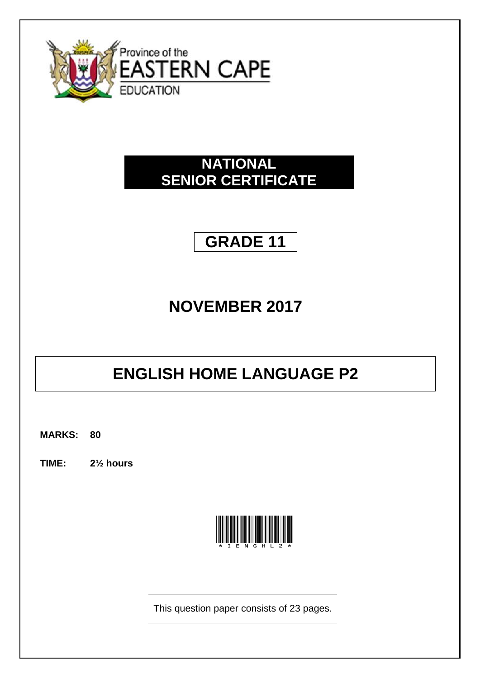

# **NATIONAL SENIOR CERTIFICATE**

# **GRADE 11**

# **NOVEMBER 2017**

# **ENGLISH HOME LANGUAGE P2**

**MARKS: 80**

**TIME: 2½ hours**



This question paper consists of 23 pages.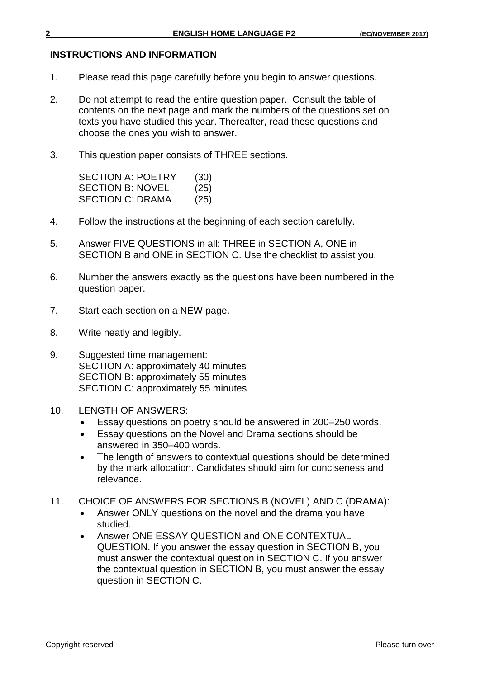#### **INSTRUCTIONS AND INFORMATION**

- 1. Please read this page carefully before you begin to answer questions.
- 2. Do not attempt to read the entire question paper. Consult the table of contents on the next page and mark the numbers of the questions set on texts you have studied this year. Thereafter, read these questions and choose the ones you wish to answer.
- 3. This question paper consists of THREE sections.

SECTION A: POETRY (30) SECTION B: NOVEL (25) SECTION C: DRAMA (25)

- 4. Follow the instructions at the beginning of each section carefully.
- 5. Answer FIVE QUESTIONS in all: THREE in SECTION A, ONE in SECTION B and ONE in SECTION C. Use the checklist to assist you.
- 6. Number the answers exactly as the questions have been numbered in the question paper.
- 7. Start each section on a NEW page.
- 8. Write neatly and legibly.
- 9. Suggested time management: SECTION A: approximately 40 minutes SECTION B: approximately 55 minutes SECTION C: approximately 55 minutes
- 10. LENGTH OF ANSWERS:
	- Essay questions on poetry should be answered in 200–250 words.
	- Essay questions on the Novel and Drama sections should be answered in 350–400 words.
	- The length of answers to contextual questions should be determined by the mark allocation. Candidates should aim for conciseness and relevance.
- 11. CHOICE OF ANSWERS FOR SECTIONS B (NOVEL) AND C (DRAMA):
	- Answer ONLY questions on the novel and the drama you have studied.
	- Answer ONE ESSAY QUESTION and ONE CONTEXTUAL QUESTION. If you answer the essay question in SECTION B, you must answer the contextual question in SECTION C. If you answer the contextual question in SECTION B, you must answer the essay question in SECTION C.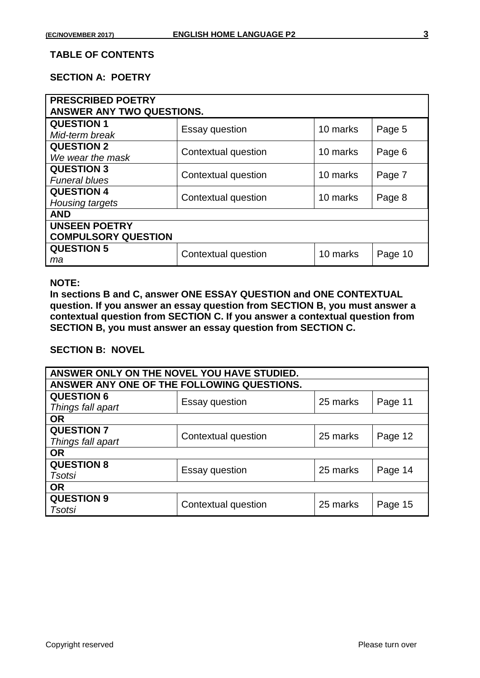#### **TABLE OF CONTENTS**

#### **SECTION A: POETRY**

| <b>PRESCRIBED POETRY</b>   |                     |          |         |
|----------------------------|---------------------|----------|---------|
| ANSWER ANY TWO QUESTIONS.  |                     |          |         |
| <b>QUESTION 1</b>          | Essay question      | 10 marks | Page 5  |
| Mid-term break             |                     |          |         |
| <b>QUESTION 2</b>          | Contextual question | 10 marks | Page 6  |
| We wear the mask           |                     |          |         |
| <b>QUESTION 3</b>          | Contextual question | 10 marks |         |
| <b>Funeral blues</b>       |                     |          | Page 7  |
| <b>QUESTION 4</b>          | Contextual question | 10 marks | Page 8  |
| Housing targets            |                     |          |         |
| <b>AND</b>                 |                     |          |         |
| <b>UNSEEN POETRY</b>       |                     |          |         |
| <b>COMPULSORY QUESTION</b> |                     |          |         |
| <b>QUESTION 5</b>          | Contextual question | 10 marks | Page 10 |
| ma                         |                     |          |         |

#### **NOTE:**

**In sections B and C, answer ONE ESSAY QUESTION and ONE CONTEXTUAL question. If you answer an essay question from SECTION B, you must answer a contextual question from SECTION C. If you answer a contextual question from SECTION B, you must answer an essay question from SECTION C.**

#### **SECTION B: NOVEL**

| ANSWER ONLY ON THE NOVEL YOU HAVE STUDIED. |                                            |          |         |  |  |
|--------------------------------------------|--------------------------------------------|----------|---------|--|--|
|                                            | ANSWER ANY ONE OF THE FOLLOWING QUESTIONS. |          |         |  |  |
| <b>QUESTION 6</b>                          | Essay question                             | 25 marks | Page 11 |  |  |
| Things fall apart                          |                                            |          |         |  |  |
| <b>OR</b>                                  |                                            |          |         |  |  |
| <b>QUESTION 7</b>                          |                                            | 25 marks |         |  |  |
| Things fall apart                          | Contextual question                        |          | Page 12 |  |  |
| <b>OR</b>                                  |                                            |          |         |  |  |
| <b>QUESTION 8</b>                          |                                            | 25 marks |         |  |  |
| Tsotsi                                     | <b>Essay question</b>                      |          | Page 14 |  |  |
| <b>OR</b>                                  |                                            |          |         |  |  |
| <b>QUESTION 9</b>                          |                                            | 25 marks |         |  |  |
| Tsotsi                                     | Contextual question                        |          | Page 15 |  |  |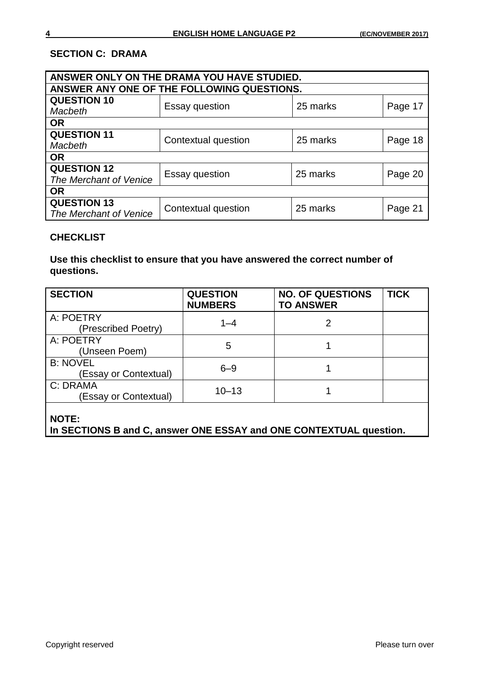#### **SECTION C: DRAMA**

| ANSWER ONLY ON THE DRAMA YOU HAVE STUDIED.   |                                            |          |         |  |
|----------------------------------------------|--------------------------------------------|----------|---------|--|
|                                              | ANSWER ANY ONE OF THE FOLLOWING QUESTIONS. |          |         |  |
| <b>QUESTION 10</b><br>Macbeth                | Essay question                             | 25 marks | Page 17 |  |
| <b>OR</b>                                    |                                            |          |         |  |
| <b>QUESTION 11</b><br><b>Macbeth</b>         | Contextual question                        | 25 marks | Page 18 |  |
| <b>OR</b>                                    |                                            |          |         |  |
| <b>QUESTION 12</b><br>The Merchant of Venice | Essay question                             | 25 marks | Page 20 |  |
| <b>OR</b>                                    |                                            |          |         |  |
| <b>QUESTION 13</b><br>The Merchant of Venice | Contextual question                        | 25 marks | Page 21 |  |

#### **CHECKLIST**

**Use this checklist to ensure that you have answered the correct number of questions.**

| <b>SECTION</b>                           | <b>QUESTION</b><br><b>NUMBERS</b> | <b>NO. OF QUESTIONS</b><br><b>TO ANSWER</b> | <b>TICK</b> |
|------------------------------------------|-----------------------------------|---------------------------------------------|-------------|
| A: POETRY<br>(Prescribed Poetry)         | 1–4                               |                                             |             |
| A: POETRY<br>(Unseen Poem)               | 5                                 |                                             |             |
| <b>B: NOVEL</b><br>(Essay or Contextual) | $6 - 9$                           |                                             |             |
| C: DRAMA<br>(Essay or Contextual)        | $10 - 13$                         |                                             |             |

**NOTE:**

**In SECTIONS B and C, answer ONE ESSAY and ONE CONTEXTUAL question.**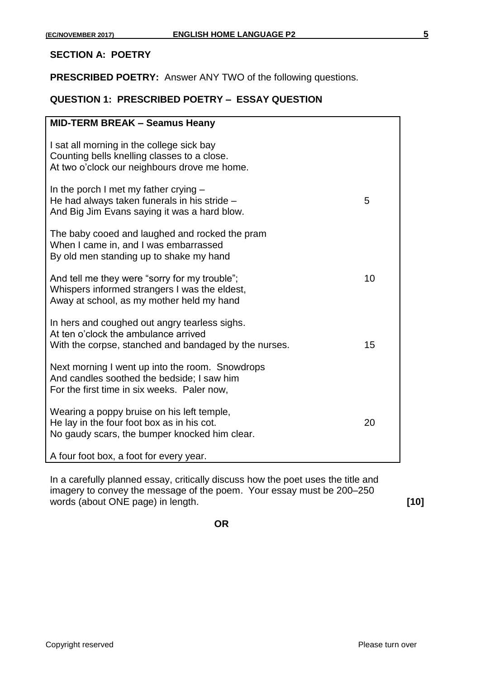#### **SECTION A: POETRY**

**PRESCRIBED POETRY:** Answer ANY TWO of the following questions.

#### **QUESTION 1: PRESCRIBED POETRY – ESSAY QUESTION**

| <b>MID-TERM BREAK - Seamus Heany</b>                                                                                                           |    |
|------------------------------------------------------------------------------------------------------------------------------------------------|----|
|                                                                                                                                                |    |
| I sat all morning in the college sick bay<br>Counting bells knelling classes to a close.<br>At two o'clock our neighbours drove me home.       |    |
| In the porch I met my father crying $-$<br>He had always taken funerals in his stride -<br>And Big Jim Evans saying it was a hard blow.        | 5  |
| The baby cooed and laughed and rocked the pram<br>When I came in, and I was embarrassed<br>By old men standing up to shake my hand             |    |
| And tell me they were "sorry for my trouble";<br>Whispers informed strangers I was the eldest,<br>Away at school, as my mother held my hand    | 10 |
| In hers and coughed out angry tearless sighs.<br>At ten o'clock the ambulance arrived<br>With the corpse, stanched and bandaged by the nurses. | 15 |
| Next morning I went up into the room. Snowdrops<br>And candles soothed the bedside; I saw him<br>For the first time in six weeks. Paler now,   |    |
| Wearing a poppy bruise on his left temple,<br>He lay in the four foot box as in his cot.<br>No gaudy scars, the bumper knocked him clear.      | 20 |
| A four foot box, a foot for every year.                                                                                                        |    |

In a carefully planned essay, critically discuss how the poet uses the title and imagery to convey the message of the poem. Your essay must be 200–250 words (about ONE page) in length. **[10]**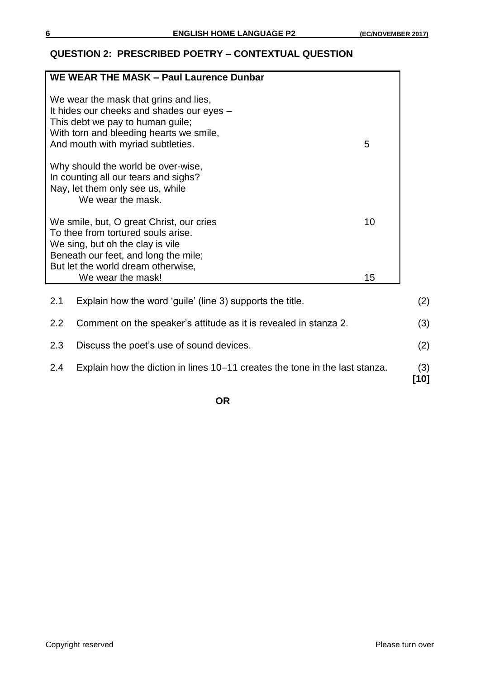### **QUESTION 2: PRESCRIBED POETRY – CONTEXTUAL QUESTION**

| WE WEAR THE MASK - Paul Laurence Dunbar                                                                                                                                                                                           |   |             |
|-----------------------------------------------------------------------------------------------------------------------------------------------------------------------------------------------------------------------------------|---|-------------|
| We wear the mask that grins and lies,<br>It hides our cheeks and shades our eyes -<br>This debt we pay to human guile;<br>With torn and bleeding hearts we smile,<br>And mouth with myriad subtleties.                            | 5 |             |
| Why should the world be over-wise,<br>In counting all our tears and sighs?<br>Nay, let them only see us, while<br>We wear the mask.                                                                                               |   |             |
| 10<br>We smile, but, O great Christ, our cries<br>To thee from tortured souls arise.<br>We sing, but oh the clay is vile<br>Beneath our feet, and long the mile;<br>But let the world dream otherwise,<br>We wear the mask!<br>15 |   |             |
| Explain how the word 'guile' (line 3) supports the title.<br>2.1                                                                                                                                                                  |   | (2)         |
| 2.2<br>Comment on the speaker's attitude as it is revealed in stanza 2.                                                                                                                                                           |   | (3)         |
| 2.3<br>Discuss the poet's use of sound devices.                                                                                                                                                                                   |   | (2)         |
| 2.4<br>Explain how the diction in lines 10–11 creates the tone in the last stanza.                                                                                                                                                |   | (3)<br>[10] |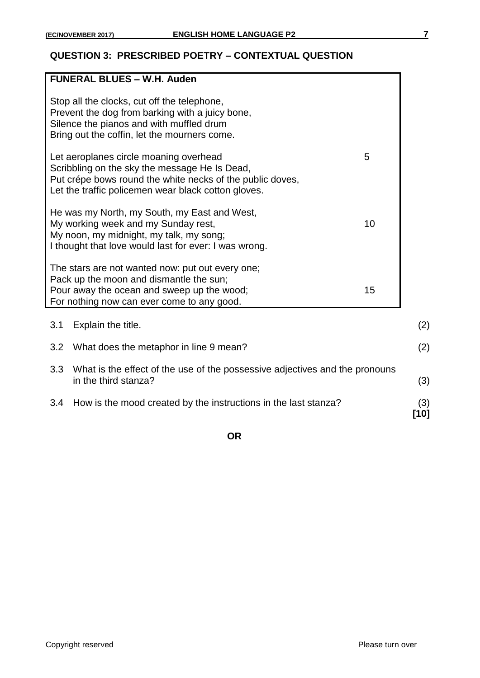#### **QUESTION 3: PRESCRIBED POETRY – CONTEXTUAL QUESTION**

|     | <b>FUNERAL BLUES - W.H. Auden</b>                                                           |    |      |
|-----|---------------------------------------------------------------------------------------------|----|------|
|     |                                                                                             |    |      |
|     | Stop all the clocks, cut off the telephone,                                                 |    |      |
|     | Prevent the dog from barking with a juicy bone,                                             |    |      |
|     | Silence the pianos and with muffled drum                                                    |    |      |
|     | Bring out the coffin, let the mourners come.                                                |    |      |
|     |                                                                                             | 5  |      |
|     | Let aeroplanes circle moaning overhead<br>Scribbling on the sky the message He Is Dead,     |    |      |
|     | Put crépe bows round the white necks of the public doves,                                   |    |      |
|     | Let the traffic policemen wear black cotton gloves.                                         |    |      |
|     |                                                                                             |    |      |
|     | He was my North, my South, my East and West,                                                |    |      |
|     | My working week and my Sunday rest,                                                         | 10 |      |
|     | My noon, my midnight, my talk, my song;                                                     |    |      |
|     | I thought that love would last for ever: I was wrong.                                       |    |      |
|     |                                                                                             |    |      |
|     | The stars are not wanted now: put out every one;                                            |    |      |
|     | Pack up the moon and dismantle the sun;<br>Pour away the ocean and sweep up the wood;<br>15 |    |      |
|     | For nothing now can ever come to any good.                                                  |    |      |
|     |                                                                                             |    |      |
| 3.1 | Explain the title.                                                                          |    | (2)  |
|     |                                                                                             |    |      |
| 3.2 | What does the metaphor in line 9 mean?                                                      |    | (2)  |
|     |                                                                                             |    |      |
| 3.3 | What is the effect of the use of the possessive adjectives and the pronouns                 |    |      |
|     | in the third stanza?                                                                        |    | (3)  |
| 3.4 | How is the mood created by the instructions in the last stanza?                             |    | (3)  |
|     |                                                                                             |    | [10] |
|     |                                                                                             |    |      |

Copyright reserved **Please turn over Please turn over**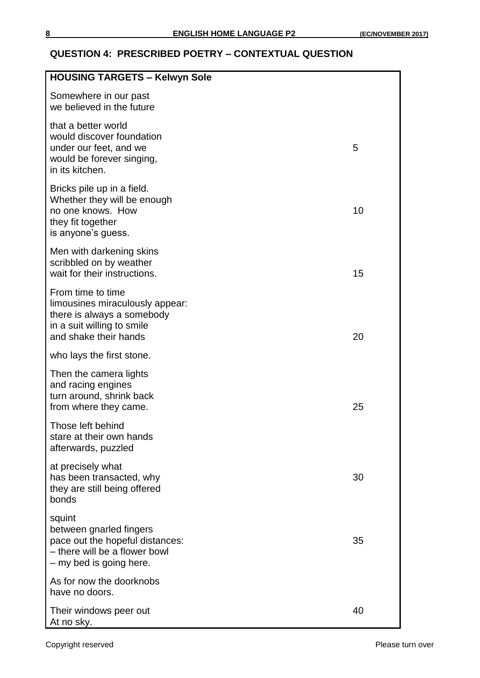### **QUESTION 4: PRESCRIBED POETRY – CONTEXTUAL QUESTION**

| <b>HOUSING TARGETS - Kelwyn Sole</b>                                                                                                      |    |
|-------------------------------------------------------------------------------------------------------------------------------------------|----|
| Somewhere in our past<br>we believed in the future                                                                                        |    |
| that a better world<br>would discover foundation<br>under our feet, and we<br>would be forever singing,<br>in its kitchen.                | 5  |
| Bricks pile up in a field.<br>Whether they will be enough<br>no one knows. How<br>they fit together<br>is anyone's guess.                 | 10 |
| Men with darkening skins<br>scribbled on by weather<br>wait for their instructions.                                                       | 15 |
| From time to time<br>limousines miraculously appear:<br>there is always a somebody<br>in a suit willing to smile<br>and shake their hands | 20 |
| who lays the first stone.                                                                                                                 |    |
| Then the camera lights<br>and racing engines<br>turn around, shrink back<br>from where they came.                                         | 25 |
| Those left behind<br>stare at their own hands<br>afterwards, puzzled                                                                      |    |
| at precisely what<br>has been transacted, why<br>they are still being offered<br>bonds                                                    | 30 |
| squint<br>between gnarled fingers<br>pace out the hopeful distances:<br>- there will be a flower bowl<br>- my bed is going here.          | 35 |
| As for now the doorknobs<br>have no doors.                                                                                                |    |
| Their windows peer out<br>At no sky.                                                                                                      | 40 |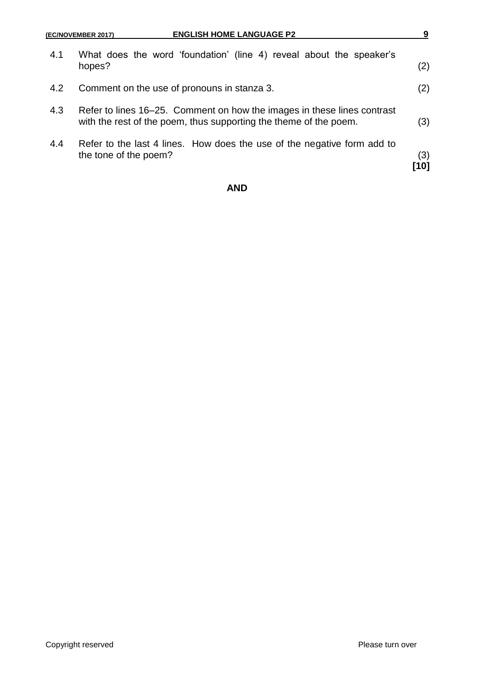|     | <b>ENGLISH HOME LANGUAGE P2</b><br>(EC/NOVEMBER 2017)                                                                                        | 9           |
|-----|----------------------------------------------------------------------------------------------------------------------------------------------|-------------|
| 4.1 | What does the word 'foundation' (line 4) reveal about the speaker's<br>hopes?                                                                | (2)         |
| 4.2 | Comment on the use of pronouns in stanza 3.                                                                                                  | (2)         |
| 4.3 | Refer to lines 16–25. Comment on how the images in these lines contrast<br>with the rest of the poem, thus supporting the theme of the poem. | (3)         |
| 4.4 | Refer to the last 4 lines. How does the use of the negative form add to<br>the tone of the poem?                                             | (3)<br>[10] |

**AND**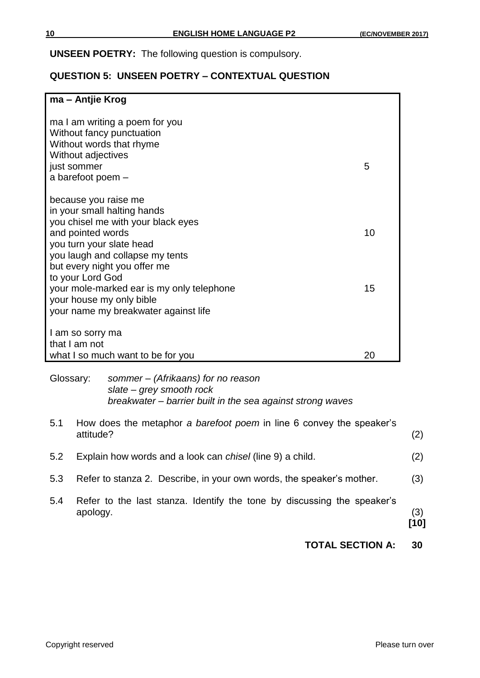**UNSEEN POETRY:** The following question is compulsory.

#### **QUESTION 5: UNSEEN POETRY – CONTEXTUAL QUESTION**

| ma - Antjie Krog                                                                                                                                                                                              |    |
|---------------------------------------------------------------------------------------------------------------------------------------------------------------------------------------------------------------|----|
| ma I am writing a poem for you<br>Without fancy punctuation<br>Without words that rhyme<br>Without adjectives<br>just sommer<br>a barefoot poem -                                                             | 5  |
| because you raise me<br>in your small halting hands<br>you chisel me with your black eyes<br>and pointed words<br>you turn your slate head<br>you laugh and collapse my tents<br>but every night you offer me | 10 |
| to your Lord God<br>your mole-marked ear is my only telephone<br>your house my only bible<br>your name my breakwater against life                                                                             | 15 |
| I am so sorry ma                                                                                                                                                                                              |    |
| that I am not                                                                                                                                                                                                 |    |
| what I so much want to be for you                                                                                                                                                                             | 20 |

Glossary: *sommer – (Afrikaans) for no reason slate – grey smooth rock breakwater – barrier built in the sea against strong waves*

| 5.1 | How does the metaphor a barefoot poem in line 6 convey the speaker's<br>attitude?   | (2)         |
|-----|-------------------------------------------------------------------------------------|-------------|
| 5.2 | Explain how words and a look can <i>chisel</i> (line 9) a child.                    | (2)         |
| 5.3 | Refer to stanza 2. Describe, in your own words, the speaker's mother.               | (3)         |
| 5.4 | Refer to the last stanza. Identify the tone by discussing the speaker's<br>apology. | (3)<br>[10] |
|     | <b>TOTAL SECTION A:</b>                                                             | 30          |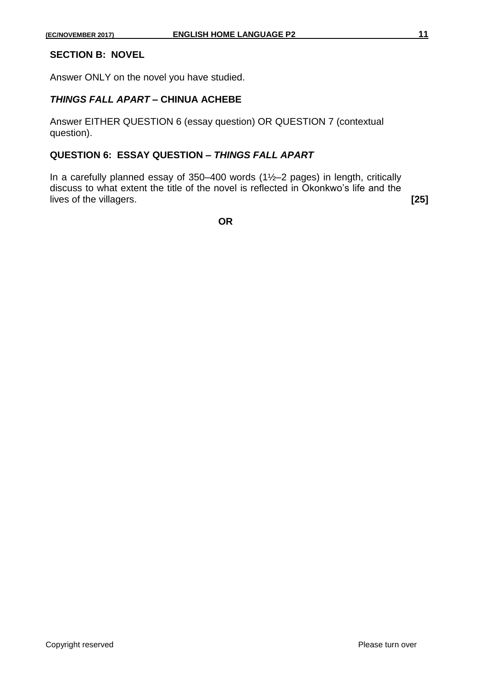#### **SECTION B: NOVEL**

Answer ONLY on the novel you have studied.

#### *THINGS FALL APART* **– CHINUA ACHEBE**

Answer EITHER QUESTION 6 (essay question) OR QUESTION 7 (contextual question).

#### **QUESTION 6: ESSAY QUESTION –** *THINGS FALL APART*

In a carefully planned essay of 350–400 words (1½–2 pages) in length, critically discuss to what extent the title of the novel is reflected in Okonkwo's life and the lives of the villagers. **[25]**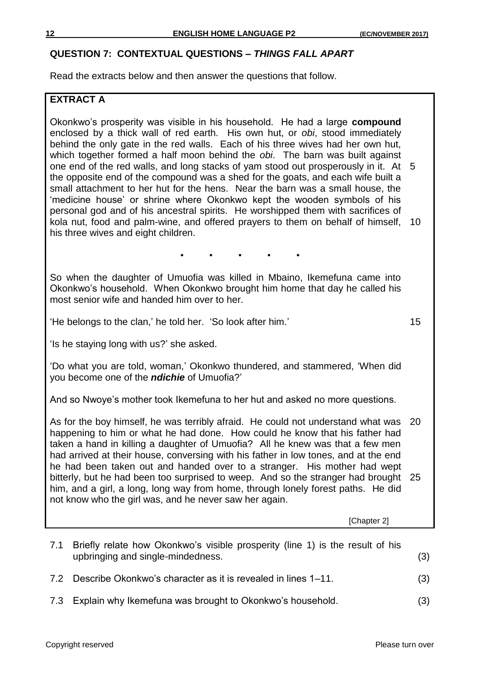#### **QUESTION 7: CONTEXTUAL QUESTIONS –** *THINGS FALL APART*

Read the extracts below and then answer the questions that follow.

#### **EXTRACT A**

Okonkwo's prosperity was visible in his household. He had a large **compound** enclosed by a thick wall of red earth. His own hut, or *obi*, stood immediately behind the only gate in the red walls. Each of his three wives had her own hut, which together formed a half moon behind the *obi*. The barn was built against one end of the red walls, and long stacks of yam stood out prosperously in it. At 5 the opposite end of the compound was a shed for the goats, and each wife built a small attachment to her hut for the hens. Near the barn was a small house, the 'medicine house' or shrine where Okonkwo kept the wooden symbols of his personal god and of his ancestral spirits. He worshipped them with sacrifices of kola nut, food and palm-wine, and offered prayers to them on behalf of himself, 10 his three wives and eight children.

• • • • •

So when the daughter of Umuofia was killed in Mbaino, Ikemefuna came into Okonkwo's household. When Okonkwo brought him home that day he called his most senior wife and handed him over to her.

'He belongs to the clan,' he told her. 'So look after him.'

'Is he staying long with us?' she asked.

'Do what you are told, woman,' Okonkwo thundered, and stammered, 'When did you become one of the *ndichie* of Umuofia?'

And so Nwoye's mother took Ikemefuna to her hut and asked no more questions.

As for the boy himself, he was terribly afraid. He could not understand what was happening to him or what he had done. How could he know that his father had taken a hand in killing a daughter of Umuofia? All he knew was that a few men had arrived at their house, conversing with his father in low tones, and at the end he had been taken out and handed over to a stranger. His mother had wept bitterly, but he had been too surprised to weep. And so the stranger had brought 25 him, and a girl, a long, long way from home, through lonely forest paths. He did not know who the girl was, and he never saw her again. 20

 [Chapter 2] 7.1 Briefly relate how Okonkwo's visible prosperity (line 1) is the result of his upbringing and single-mindedness. (3) 7.2 Describe Okonkwo's character as it is revealed in lines 1–11. (3) 7.3 Explain why Ikemefuna was brought to Okonkwo's household. (3)

Copyright reserved **Please turn over the Copyright reserved** Please turn over

15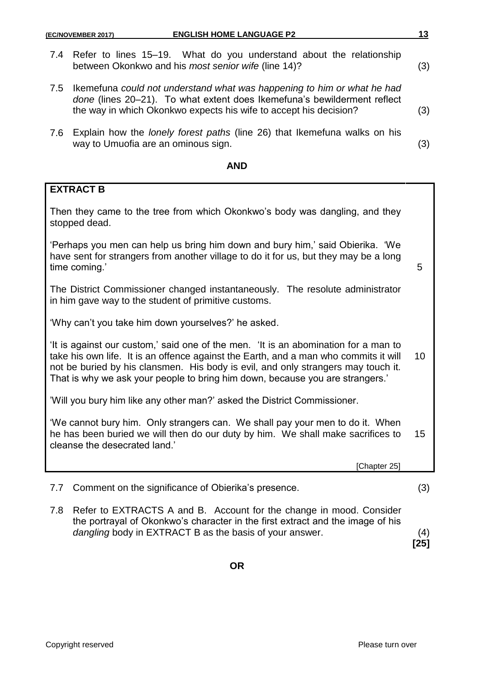**EXTRACT B**

- 7.4 Refer to lines 15–19. What do you understand about the relationship between Okonkwo and his *most senior wife* (line 14)? (3)
- 7.5 Ikemefuna *could not understand what was happening to him or what he had done* (lines 20–21). To what extent does Ikemefuna's bewilderment reflect the way in which Okonkwo expects his wife to accept his decision? (3)
- 7.6 Explain how the *lonely forest paths* (line 26) that Ikemefuna walks on his way to Umuofia are an ominous sign. (3)

#### **AND**

# Then they came to the tree from which Okonkwo's body was dangling, and they stopped dead. 'Perhaps you men can help us bring him down and bury him,' said Obierika. 'We have sent for strangers from another village to do it for us, but they may be a long time coming.' The District Commissioner changed instantaneously. The resolute administrator in him gave way to the student of primitive customs. 'Why can't you take him down yourselves?' he asked. 'It is against our custom,' said one of the men. 'It is an abomination for a man to

take his own life. It is an offence against the Earth, and a man who commits it will not be buried by his clansmen. His body is evil, and only strangers may touch it. That is why we ask your people to bring him down, because you are strangers.' 10

'Will you bury him like any other man?' asked the District Commissioner.

'We cannot bury him. Only strangers can. We shall pay your men to do it. When he has been buried we will then do our duty by him. We shall make sacrifices to cleanse the desecrated land.' 15

[Chapter 25]

5

- 7.7 Comment on the significance of Obierika's presence. (3)
- 7.8 Refer to EXTRACTS A and B. Account for the change in mood. Consider the portrayal of Okonkwo's character in the first extract and the image of his *dangling* body in EXTRACT B as the basis of your answer. (4)

**OR**

**[25]**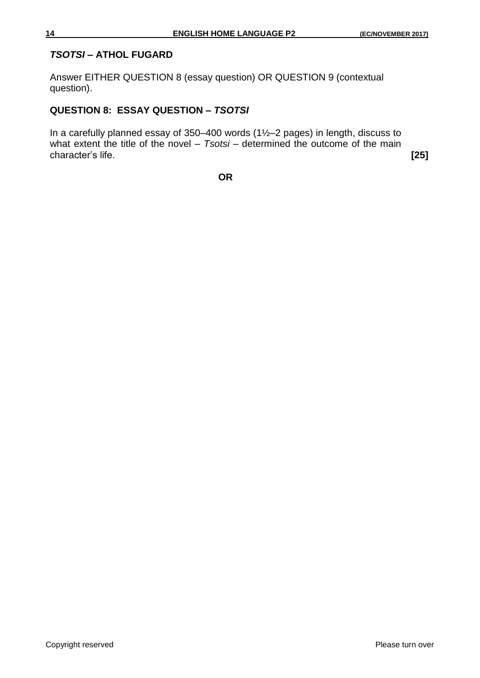#### *TSOTSI* **– ATHOL FUGARD**

Answer EITHER QUESTION 8 (essay question) OR QUESTION 9 (contextual question).

#### **QUESTION 8: ESSAY QUESTION –** *TSOTSI*

In a carefully planned essay of 350–400 words (1½–2 pages) in length, discuss to what extent the title of the novel – *Tsotsi* – determined the outcome of the main character's life. **[25]**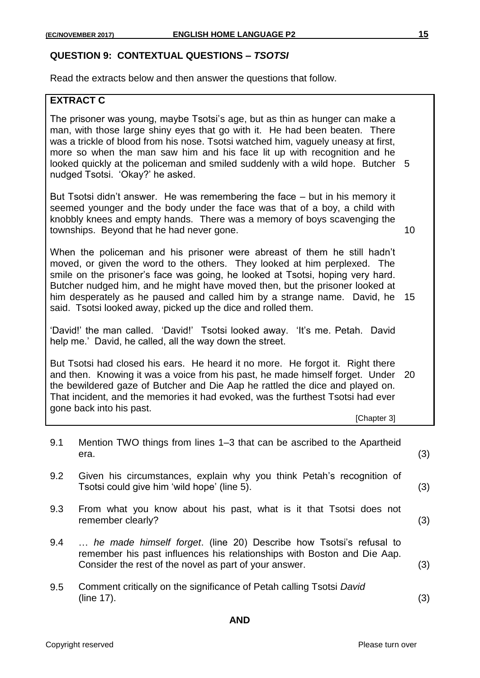#### **QUESTION 9: CONTEXTUAL QUESTIONS –** *TSOTSI*

townships. Beyond that he had never gone.

Read the extracts below and then answer the questions that follow.

## **EXTRACT C** The prisoner was young, maybe Tsotsi's age, but as thin as hunger can make a man, with those large shiny eyes that go with it. He had been beaten. There was a trickle of blood from his nose. Tsotsi watched him, vaguely uneasy at first, more so when the man saw him and his face lit up with recognition and he looked quickly at the policeman and smiled suddenly with a wild hope. Butcher 5 nudged Tsotsi. 'Okay?' he asked. But Tsotsi didn't answer. He was remembering the face – but in his memory it seemed younger and the body under the face was that of a boy, a child with knobbly knees and empty hands. There was a memory of boys scavenging the

10

When the policeman and his prisoner were abreast of them he still hadn't moved, or given the word to the others. They looked at him perplexed. The smile on the prisoner's face was going, he looked at Tsotsi, hoping very hard. Butcher nudged him, and he might have moved then, but the prisoner looked at him desperately as he paused and called him by a strange name. David, he 15 said. Tsotsi looked away, picked up the dice and rolled them.

'David!' the man called. 'David!' Tsotsi looked away. 'It's me. Petah. David help me.' David, he called, all the way down the street.

But Tsotsi had closed his ears. He heard it no more. He forgot it. Right there and then. Knowing it was a voice from his past, he made himself forget. Under 20 the bewildered gaze of Butcher and Die Aap he rattled the dice and played on. That incident, and the memories it had evoked, was the furthest Tsotsi had ever gone back into his past.

9.1 Mention TWO things from lines 1–3 that can be ascribed to the Apartheid

- era. (3) 9.2 Given his circumstances, explain why you think Petah's recognition of Tsotsi could give him 'wild hope' (line 5). (3) 9.3 From what you know about his past, what is it that Tsotsi does not
- remember clearly? (3)
- 9.4 … *he made himself forget*. (line 20) Describe how Tsotsi's refusal to remember his past influences his relationships with Boston and Die Aap. Consider the rest of the novel as part of your answer. (3)
- 9.5 Comment critically on the significance of Petah calling Tsotsi *David*  $(\text{line } 17).$  (3)

[Chapter 3]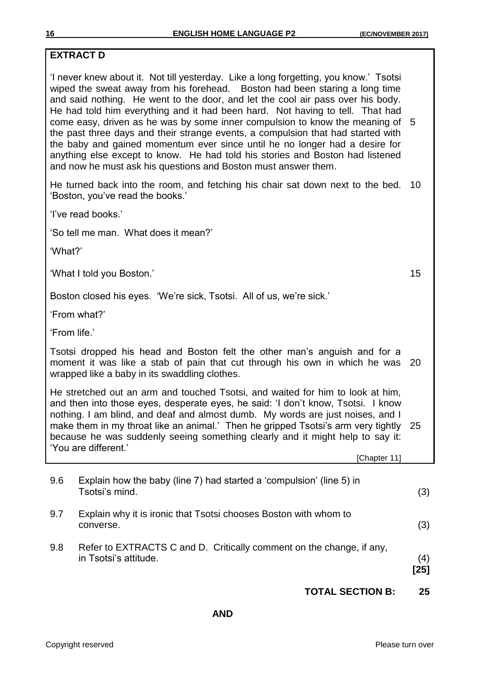15

### **EXTRACT D**

'I never knew about it. Not till yesterday. Like a long forgetting, you know.' Tsotsi wiped the sweat away from his forehead. Boston had been staring a long time and said nothing. He went to the door, and let the cool air pass over his body. He had told him everything and it had been hard. Not having to tell. That had come easy, driven as he was by some inner compulsion to know the meaning of 5 the past three days and their strange events, a compulsion that had started with the baby and gained momentum ever since until he no longer had a desire for anything else except to know. He had told his stories and Boston had listened and now he must ask his questions and Boston must answer them.

He turned back into the room, and fetching his chair sat down next to the bed. 10 'Boston, you've read the books.'

'I've read books.'

'So tell me man. What does it mean?'

'What?'

'What I told you Boston.'

Boston closed his eyes. 'We're sick, Tsotsi. All of us, we're sick.'

'From what?'

'From life.'

Tsotsi dropped his head and Boston felt the other man's anguish and for a moment it was like a stab of pain that cut through his own in which he was 20 wrapped like a baby in its swaddling clothes.

He stretched out an arm and touched Tsotsi, and waited for him to look at him, and then into those eyes, desperate eyes, he said: 'I don't know, Tsotsi. I know nothing. I am blind, and deaf and almost dumb. My words are just noises, and I make them in my throat like an animal.' Then he gripped Tsotsi's arm very tightly 25 because he was suddenly seeing something clearly and it might help to say it: 'You are different'

| 9.8 | Refer to EXTRACTS C and D. Critically comment on the change, if any,<br>in Tsotsi's attitude. | (4)<br>[25] |
|-----|-----------------------------------------------------------------------------------------------|-------------|
| 9.7 | Explain why it is ironic that Tsotsi chooses Boston with whom to<br>converse.                 | (3)         |
| 9.6 | Explain how the baby (line 7) had started a 'compulsion' (line 5) in<br>Tsotsi's mind.        | (3)         |
|     |                                                                                               |             |

**TOTAL SECTION B: 25**

[Chapter 11]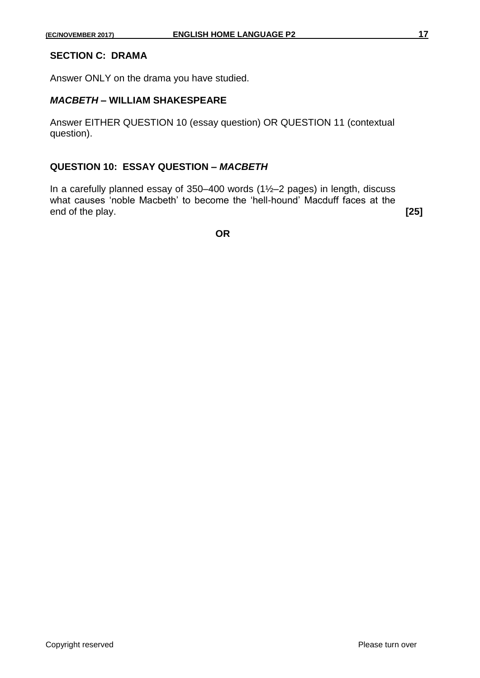#### **SECTION C: DRAMA**

Answer ONLY on the drama you have studied.

#### *MACBETH* **– WILLIAM SHAKESPEARE**

Answer EITHER QUESTION 10 (essay question) OR QUESTION 11 (contextual question).

#### **QUESTION 10: ESSAY QUESTION –** *MACBETH*

In a carefully planned essay of 350–400 words (1½–2 pages) in length, discuss what causes 'noble Macbeth' to become the 'hell-hound' Macduff faces at the end of the play. **[25]**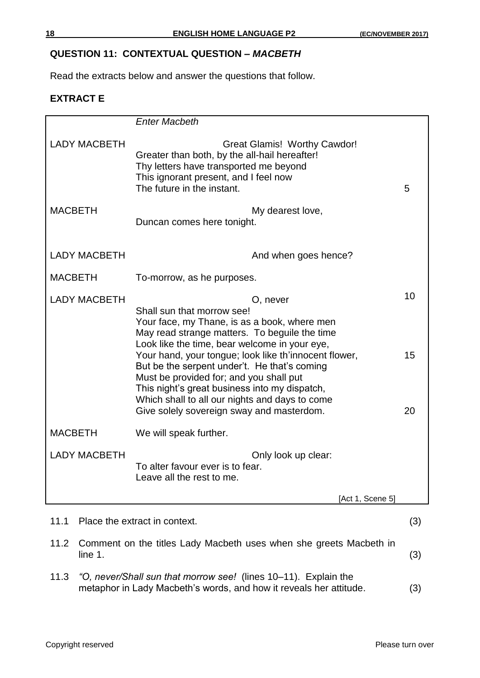## **QUESTION 11: CONTEXTUAL QUESTION –** *MACBETH*

Read the extracts below and answer the questions that follow.

#### **EXTRACT E**

|                |                     | <b>Enter Macbeth</b>                                                                                                                                                                                                                                                                             |          |
|----------------|---------------------|--------------------------------------------------------------------------------------------------------------------------------------------------------------------------------------------------------------------------------------------------------------------------------------------------|----------|
|                | <b>LADY MACBETH</b> | <b>Great Glamis! Worthy Cawdor!</b><br>Greater than both, by the all-hail hereafter!<br>Thy letters have transported me beyond<br>This ignorant present, and I feel now<br>The future in the instant.                                                                                            | 5        |
| <b>MACBETH</b> |                     | My dearest love,<br>Duncan comes here tonight.                                                                                                                                                                                                                                                   |          |
|                | <b>LADY MACBETH</b> | And when goes hence?                                                                                                                                                                                                                                                                             |          |
| <b>MACBETH</b> |                     | To-morrow, as he purposes.                                                                                                                                                                                                                                                                       |          |
|                | <b>LADY MACBETH</b> | O, never<br>Shall sun that morrow see!<br>Your face, my Thane, is as a book, where men<br>May read strange matters. To beguile the time<br>Look like the time, bear welcome in your eye,                                                                                                         | 10       |
|                |                     | Your hand, your tongue; look like th'innocent flower,<br>But be the serpent under't. He that's coming<br>Must be provided for; and you shall put<br>This night's great business into my dispatch,<br>Which shall to all our nights and days to come<br>Give solely sovereign sway and masterdom. | 15<br>20 |
| <b>MACBETH</b> |                     | We will speak further.                                                                                                                                                                                                                                                                           |          |
|                | <b>LADY MACBETH</b> | Only look up clear:<br>To alter favour ever is to fear.<br>Leave all the rest to me.                                                                                                                                                                                                             |          |
|                |                     | [Act 1, Scene 5]                                                                                                                                                                                                                                                                                 |          |
| 11.1           |                     | Place the extract in context.                                                                                                                                                                                                                                                                    | (3)      |
| 11.2           | line 1.             | Comment on the titles Lady Macbeth uses when she greets Macbeth in                                                                                                                                                                                                                               | (3)      |
| 11.3           |                     | "O, never/Shall sun that morrow see! (lines 10–11). Explain the<br>metaphor in Lady Macbeth's words, and how it reveals her attitude.                                                                                                                                                            | (3)      |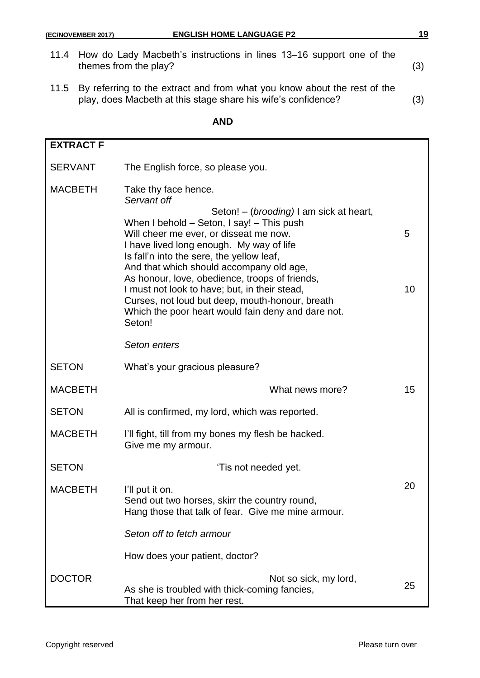- 11.4 How do Lady Macbeth's instructions in lines 13–16 support one of the themes from the play? (3)
- 11.5 By referring to the extract and from what you know about the rest of the play, does Macbeth at this stage share his wife's confidence? (3)

| <b>EXTRACT F</b> |                                                                                                                                                                                                                                                                                                                                                                                                                                                                                                    |         |
|------------------|----------------------------------------------------------------------------------------------------------------------------------------------------------------------------------------------------------------------------------------------------------------------------------------------------------------------------------------------------------------------------------------------------------------------------------------------------------------------------------------------------|---------|
| <b>SERVANT</b>   | The English force, so please you.                                                                                                                                                                                                                                                                                                                                                                                                                                                                  |         |
| <b>MACBETH</b>   | Take thy face hence.<br>Servant off                                                                                                                                                                                                                                                                                                                                                                                                                                                                |         |
|                  | Seton! – ( <i>brooding</i> ) I am sick at heart,<br>When I behold – Seton, I say! – This push<br>Will cheer me ever, or disseat me now.<br>I have lived long enough. My way of life<br>Is fall'n into the sere, the yellow leaf,<br>And that which should accompany old age,<br>As honour, love, obedience, troops of friends,<br>I must not look to have; but, in their stead,<br>Curses, not loud but deep, mouth-honour, breath<br>Which the poor heart would fain deny and dare not.<br>Seton! | 5<br>10 |
|                  | Seton enters                                                                                                                                                                                                                                                                                                                                                                                                                                                                                       |         |
| <b>SETON</b>     | What's your gracious pleasure?                                                                                                                                                                                                                                                                                                                                                                                                                                                                     |         |
| <b>MACBETH</b>   | What news more?                                                                                                                                                                                                                                                                                                                                                                                                                                                                                    | 15      |
| <b>SETON</b>     | All is confirmed, my lord, which was reported.                                                                                                                                                                                                                                                                                                                                                                                                                                                     |         |
| <b>MACBETH</b>   | I'll fight, till from my bones my flesh be hacked.<br>Give me my armour.                                                                                                                                                                                                                                                                                                                                                                                                                           |         |
| <b>SETON</b>     | 'Tis not needed yet.                                                                                                                                                                                                                                                                                                                                                                                                                                                                               |         |
| <b>MACBETH</b>   | I'll put it on.<br>Send out two horses, skirr the country round,<br>Hang those that talk of fear. Give me mine armour.                                                                                                                                                                                                                                                                                                                                                                             | 20      |
|                  | Seton off to fetch armour                                                                                                                                                                                                                                                                                                                                                                                                                                                                          |         |
|                  | How does your patient, doctor?                                                                                                                                                                                                                                                                                                                                                                                                                                                                     |         |
| <b>DOCTOR</b>    | Not so sick, my lord,<br>As she is troubled with thick-coming fancies,<br>That keep her from her rest.                                                                                                                                                                                                                                                                                                                                                                                             | 25      |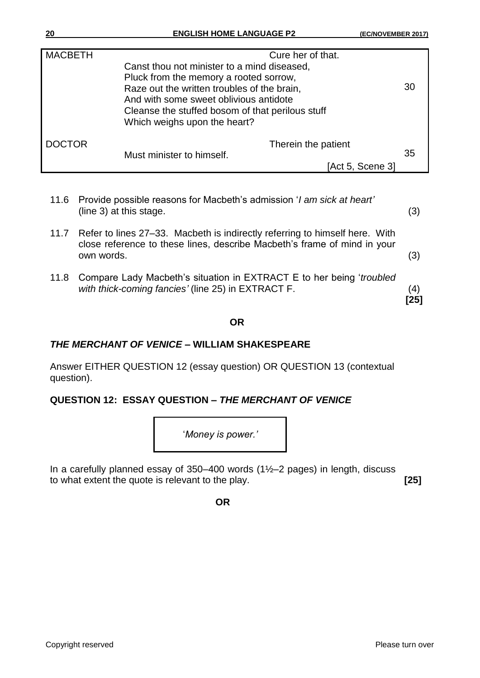| <b>MACBETH</b> | Cure her of that.<br>Canst thou not minister to a mind diseased,<br>Pluck from the memory a rooted sorrow,<br>Raze out the written troubles of the brain,<br>And with some sweet oblivious antidote<br>Cleanse the stuffed bosom of that perilous stuff<br>Which weighs upon the heart? |  | 30 |
|----------------|-----------------------------------------------------------------------------------------------------------------------------------------------------------------------------------------------------------------------------------------------------------------------------------------|--|----|
| <b>DOCTOR</b>  | Therein the patient<br>Must minister to himself.<br>[Act 5, Scene 3]                                                                                                                                                                                                                    |  | 35 |

11.6 Provide possible reasons for Macbeth's admission '*I am sick at heart'*   $(\text{line } 3)$  at this stage.  $(3)$ 11.7 Refer to lines 27–33. Macbeth is indirectly referring to himself here. With close reference to these lines, describe Macbeth's frame of mind in your own words. (3) 11.8 Compare Lady Macbeth's situation in EXTRACT E to her being '*troubled with thick-coming fancies'* (line 25) in EXTRACT F. (4) **[25]**

#### **OR**

#### *THE MERCHANT OF VENICE* **– WILLIAM SHAKESPEARE**

Answer EITHER QUESTION 12 (essay question) OR QUESTION 13 (contextual question).

#### **QUESTION 12: ESSAY QUESTION –** *THE MERCHANT OF VENICE*

'*Money is power.'*

In a carefully planned essay of 350–400 words (1½–2 pages) in length, discuss to what extent the quote is relevant to the play. **[25]**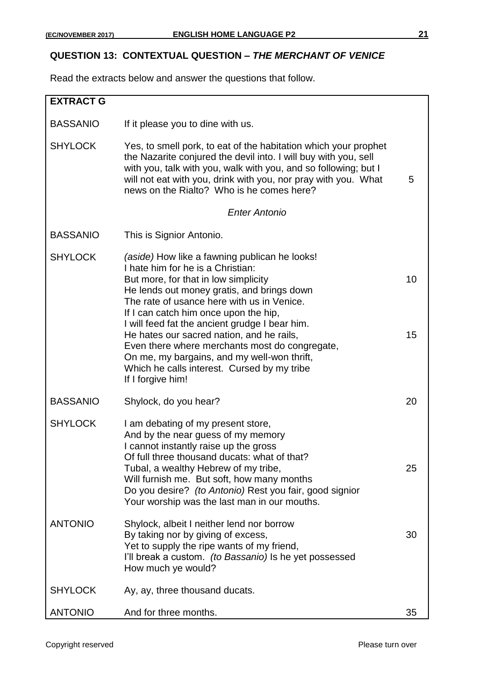#### **QUESTION 13: CONTEXTUAL QUESTION –** *THE MERCHANT OF VENICE*

Read the extracts below and answer the questions that follow.

| <b>EXTRACT G</b> |                                                                                                                                                                                                                                                                                                                      |    |
|------------------|----------------------------------------------------------------------------------------------------------------------------------------------------------------------------------------------------------------------------------------------------------------------------------------------------------------------|----|
| <b>BASSANIO</b>  | If it please you to dine with us.                                                                                                                                                                                                                                                                                    |    |
| <b>SHYLOCK</b>   | Yes, to smell pork, to eat of the habitation which your prophet<br>the Nazarite conjured the devil into. I will buy with you, sell<br>with you, talk with you, walk with you, and so following; but I<br>will not eat with you, drink with you, nor pray with you. What<br>news on the Rialto? Who is he comes here? | 5  |
|                  | <b>Enter Antonio</b>                                                                                                                                                                                                                                                                                                 |    |
| <b>BASSANIO</b>  | This is Signior Antonio.                                                                                                                                                                                                                                                                                             |    |
| <b>SHYLOCK</b>   | (aside) How like a fawning publican he looks!<br>I hate him for he is a Christian:<br>But more, for that in low simplicity<br>He lends out money gratis, and brings down<br>The rate of usance here with us in Venice.                                                                                               | 10 |
|                  | If I can catch him once upon the hip,<br>I will feed fat the ancient grudge I bear him.<br>He hates our sacred nation, and he rails,<br>Even there where merchants most do congregate,<br>On me, my bargains, and my well-won thrift,<br>Which he calls interest. Cursed by my tribe<br>If I forgive him!            | 15 |
| <b>BASSANIO</b>  | Shylock, do you hear?                                                                                                                                                                                                                                                                                                | 20 |
| <b>SHYLOCK</b>   | I am debating of my present store,<br>And by the near guess of my memory<br>I cannot instantly raise up the gross<br>Of full three thousand ducats: what of that?<br>Tubal, a wealthy Hebrew of my tribe,                                                                                                            | 25 |
|                  | Will furnish me. But soft, how many months<br>Do you desire? (to Antonio) Rest you fair, good signior<br>Your worship was the last man in our mouths.                                                                                                                                                                |    |
| <b>ANTONIO</b>   | Shylock, albeit I neither lend nor borrow<br>By taking nor by giving of excess,<br>Yet to supply the ripe wants of my friend,<br>I'll break a custom. (to Bassanio) Is he yet possessed<br>How much ye would?                                                                                                        | 30 |
| <b>SHYLOCK</b>   | Ay, ay, three thousand ducats.                                                                                                                                                                                                                                                                                       |    |
| <b>ANTONIO</b>   | And for three months.                                                                                                                                                                                                                                                                                                | 35 |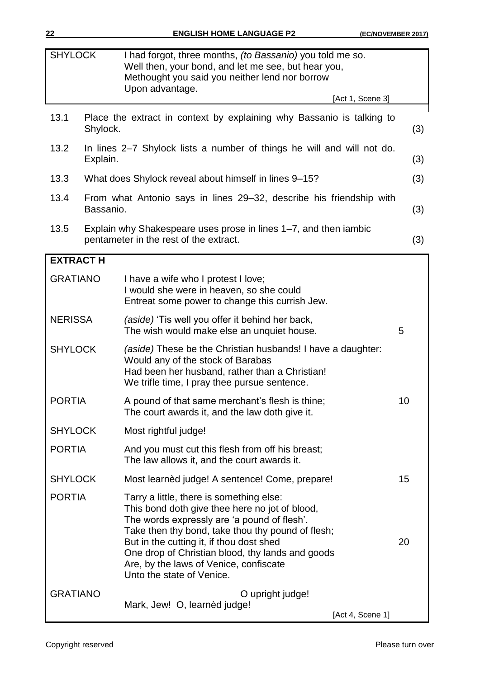| 13.2             | Explain.                                                                         | In lines 2–7 Shylock lists a number of things he will and will not do.                                                                                                                                                                                                                                                                                                | (3) |
|------------------|----------------------------------------------------------------------------------|-----------------------------------------------------------------------------------------------------------------------------------------------------------------------------------------------------------------------------------------------------------------------------------------------------------------------------------------------------------------------|-----|
| 13.3             | What does Shylock reveal about himself in lines 9-15?                            |                                                                                                                                                                                                                                                                                                                                                                       | (3) |
| 13.4             | From what Antonio says in lines 29–32, describe his friendship with<br>Bassanio. |                                                                                                                                                                                                                                                                                                                                                                       | (3) |
| 13.5             |                                                                                  | Explain why Shakespeare uses prose in lines 1–7, and then iambic<br>pentameter in the rest of the extract.                                                                                                                                                                                                                                                            | (3) |
| <b>EXTRACT H</b> |                                                                                  |                                                                                                                                                                                                                                                                                                                                                                       |     |
| <b>GRATIANO</b>  |                                                                                  | I have a wife who I protest I love;<br>I would she were in heaven, so she could<br>Entreat some power to change this currish Jew.                                                                                                                                                                                                                                     |     |
| <b>NERISSA</b>   |                                                                                  | (aside) 'Tis well you offer it behind her back,<br>The wish would make else an unquiet house.                                                                                                                                                                                                                                                                         | 5   |
| <b>SHYLOCK</b>   |                                                                                  | (aside) These be the Christian husbands! I have a daughter:<br>Would any of the stock of Barabas<br>Had been her husband, rather than a Christian!<br>We trifle time, I pray thee pursue sentence.                                                                                                                                                                    |     |
| <b>PORTIA</b>    |                                                                                  | A pound of that same merchant's flesh is thine;<br>The court awards it, and the law doth give it.                                                                                                                                                                                                                                                                     | 10  |
| <b>SHYLOCK</b>   |                                                                                  | Most rightful judge!                                                                                                                                                                                                                                                                                                                                                  |     |
| <b>PORTIA</b>    |                                                                                  | And you must cut this flesh from off his breast;<br>The law allows it, and the court awards it.                                                                                                                                                                                                                                                                       |     |
| <b>SHYLOCK</b>   |                                                                                  | Most learnèd judge! A sentence! Come, prepare!                                                                                                                                                                                                                                                                                                                        | 15  |
| <b>PORTIA</b>    |                                                                                  | Tarry a little, there is something else:<br>This bond doth give thee here no jot of blood,<br>The words expressly are 'a pound of flesh'.<br>Take then thy bond, take thou thy pound of flesh;<br>But in the cutting it, if thou dost shed<br>One drop of Christian blood, thy lands and goods<br>Are, by the laws of Venice, confiscate<br>Unto the state of Venice. | 20  |
| <b>GRATIANO</b>  |                                                                                  | O upright judge!<br>Mark, Jew! O, learnèd judge!                                                                                                                                                                                                                                                                                                                      |     |
|                  |                                                                                  | [Act 4, Scene 1]                                                                                                                                                                                                                                                                                                                                                      |     |
|                  |                                                                                  |                                                                                                                                                                                                                                                                                                                                                                       |     |

Well then, your bond, and let me see, but hear you, Methought you said you neither lend nor borrow

Shylock. (3)

13.1 Place the extract in context by explaining why Bassanio is talking to

SHYLOCK I had forgot, three months, *(to Bassanio)* you told me so.

Upon advantage.

[Act 1, Scene 3]